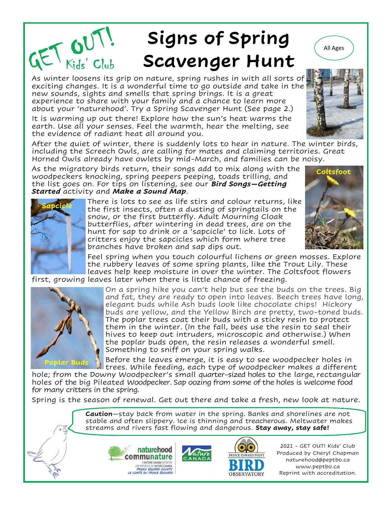# **Signs of Spring Scavenger Hunt**  $\mathcal{L}$  ( $\mathcal{L}$   $\mathcal{L}$   $\mathcal{L}$   $\mathcal{L}$   $\mathcal{L}$   $\mathcal{L}$   $\mathcal{L}$   $\mathcal{L}$   $\mathcal{L}$   $\mathcal{L}$   $\mathcal{L}$   $\mathcal{L}$   $\mathcal{L}$   $\mathcal{L}$   $\mathcal{L}$   $\mathcal{L}$   $\mathcal{L}$   $\mathcal{L}$   $\mathcal{L}$   $\mathcal{L}$   $\mathcal{L}$   $\mathcal{L}$   $\mathcal{L}$   $\mathcal$

exciting changes. It is a wonderful time to go outside and take in the new sounds, sights and smells that spring brings. It is a great experience to share with your family and a chance to learn more about your 'naturehood'. Try a Spring Scavenger Hunt (See page 2.)

It is warming up out there! Explore how the sun's heat warms the earth. Use all your senses. Feel the warmth, hear the melting, see the evidence of radiant heat all around you.

After the quiet of winter, there is suddenly lots to hear in nature. The winter birds, including the Screech Owls, are calling for mates and claiming territories. Great Horned Owls already have owlets by mid-March, and families can be noisy.

As the migratory birds return, their songs add to mix along with the woodpeckers knocking, spring peepers peeping, toads trilling, and the list goes on. For tips on listening, see our *Bird Songs—Getting Started* activity and *Make a Sound Map*.





There is lots to see as life stirs and colour returns, like the first insects, often a dusting of springtails on the snow, or the first butterfly. Adult Mourning Cloak butterflies, after wintering in dead trees, are on the hunt for sap to drink or a 'sapcicle' to lick. Lots of critters enjoy the sapcicles which form where tree branches have broken and sap dips out.

Feel spring when you touch colourful lichens or green mosses. Explore the rubbery leaves of some spring plants, like the Trout Lily. These leaves help keep moisture in over the winter. The Coltsfoot flowers first, growing leaves later when there is little chance of freezing.



On a spring hike you can't help but see the buds on the trees. Big and fat, they are ready to open into leaves. Beech trees have long, elegant buds while Ash buds look like chocolate chips! Hickory buds are yellow, and the Yellow Birch are pretty, two-toned buds. The poplar trees coat their buds with a sticky resin to protect them in the winter. (In the fall, bees use the resin to seal their hives to keep out intruders, microscopic and otherwise.) When the poplar buds open, the resin releases a wonderful smell. Something to sniff on your spring walks.

Before the leaves emerge, it is easy to see woodpecker holes in trees. While feeding, each type of woodpecker makes a different

hole; from the Downy Woodpecker's small quarter-sized holes to the large, rectangular holes of the big Pileated Woodpecker. Sap oozing from some of the holes is welcome food for many critters in the spring.

Spring is the season of renewal. Get out there and take a fresh, new look at nature.

**Caution**—stay back from water in the spring. Banks and shorelines are not stable and often slippery. Ice is thinning and treacherous. Meltwater makes streams and rivers fast flowing and dangerous. **Stay away, stay safe!** 





2021 - GET OUT! Kids' Club Produced by Cheryl Chapman naturehood@peptbo.ca www.peptbo.ca Reprint with accreditation.



All Ages